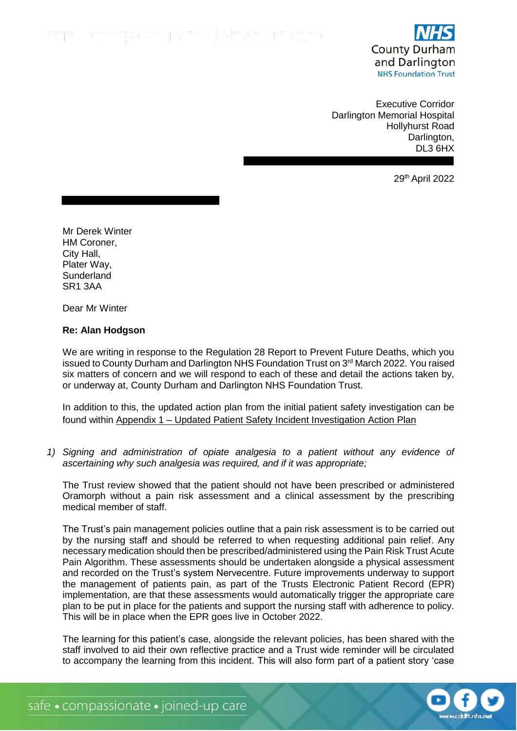

Executive Corridor Darlington Memorial Hospital Hollyhurst Road Darlington, DL3 6HX

29th April 2022

Mr Derek Winter HM Coroner, City Hall, Plater Way, **Sunderland** SR1 3AA

Dear Mr Winter

## **Re: Alan Hodgson**

We are writing in response to the Regulation 28 Report to Prevent Future Deaths, which you issued to County Durham and Darlington NHS Foundation Trust on 3rd March 2022. You raised six matters of concern and we will respond to each of these and detail the actions taken by, or underway at, County Durham and Darlington NHS Foundation Trust.

In addition to this, the updated action plan from the initial patient safety investigation can be found within Appendix 1 – Updated Patient Safety Incident Investigation Action Plan

*1) Signing and administration of opiate analgesia to a patient without any evidence of ascertaining why such analgesia was required, and if it was appropriate;*

The Trust review showed that the patient should not have been prescribed or administered Oramorph without a pain risk assessment and a clinical assessment by the prescribing medical member of staff.

The Trust's pain management policies outline that a pain risk assessment is to be carried out by the nursing staff and should be referred to when requesting additional pain relief. Any necessary medication should then be prescribed/administered using the Pain Risk Trust Acute Pain Algorithm. These assessments should be undertaken alongside a physical assessment and recorded on the Trust's system Nervecentre. Future improvements underway to support the management of patients pain, as part of the Trusts Electronic Patient Record (EPR) implementation, are that these assessments would automatically trigger the appropriate care plan to be put in place for the patients and support the nursing staff with adherence to policy. This will be in place when the EPR goes live in October 2022.

The learning for this patient's case, alongside the relevant policies, has been shared with the staff involved to aid their own reflective practice and a Trust wide reminder will be circulated to accompany the learning from this incident. This will also form part of a patient story 'case

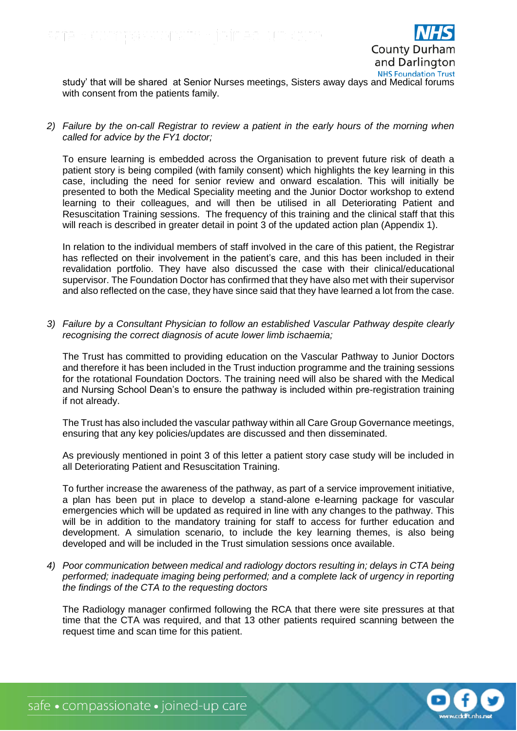

study' that will be shared at Senior Nurses meetings, Sisters away days and Medical forums with consent from the patients family.

*2) Failure by the on-call Registrar to review a patient in the early hours of the morning when called for advice by the FY1 doctor;*

To ensure learning is embedded across the Organisation to prevent future risk of death a patient story is being compiled (with family consent) which highlights the key learning in this case, including the need for senior review and onward escalation. This will initially be presented to both the Medical Speciality meeting and the Junior Doctor workshop to extend learning to their colleagues, and will then be utilised in all Deteriorating Patient and Resuscitation Training sessions. The frequency of this training and the clinical staff that this will reach is described in greater detail in point 3 of the updated action plan (Appendix 1).

In relation to the individual members of staff involved in the care of this patient, the Registrar has reflected on their involvement in the patient's care, and this has been included in their revalidation portfolio. They have also discussed the case with their clinical/educational supervisor. The Foundation Doctor has confirmed that they have also met with their supervisor and also reflected on the case, they have since said that they have learned a lot from the case.

*3) Failure by a Consultant Physician to follow an established Vascular Pathway despite clearly recognising the correct diagnosis of acute lower limb ischaemia;*

The Trust has committed to providing education on the Vascular Pathway to Junior Doctors and therefore it has been included in the Trust induction programme and the training sessions for the rotational Foundation Doctors. The training need will also be shared with the Medical and Nursing School Dean's to ensure the pathway is included within pre-registration training if not already.

The Trust has also included the vascular pathway within all Care Group Governance meetings, ensuring that any key policies/updates are discussed and then disseminated.

As previously mentioned in point 3 of this letter a patient story case study will be included in all Deteriorating Patient and Resuscitation Training.

To further increase the awareness of the pathway, as part of a service improvement initiative, a plan has been put in place to develop a stand-alone e-learning package for vascular emergencies which will be updated as required in line with any changes to the pathway. This will be in addition to the mandatory training for staff to access for further education and development. A simulation scenario, to include the key learning themes, is also being developed and will be included in the Trust simulation sessions once available.

*4) Poor communication between medical and radiology doctors resulting in; delays in CTA being performed; inadequate imaging being performed; and a complete lack of urgency in reporting the findings of the CTA to the requesting doctors*

The Radiology manager confirmed following the RCA that there were site pressures at that time that the CTA was required, and that 13 other patients required scanning between the request time and scan time for this patient.

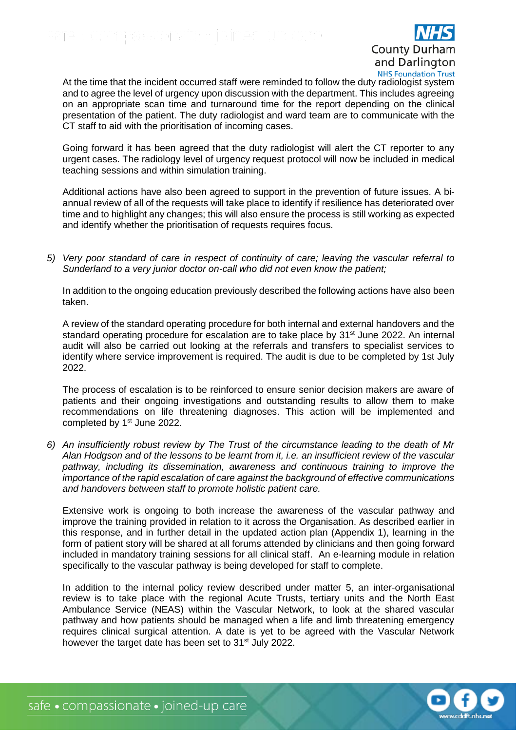

At the time that the incident occurred staff were reminded to follow the duty radiologist system and to agree the level of urgency upon discussion with the department. This includes agreeing on an appropriate scan time and turnaround time for the report depending on the clinical presentation of the patient. The duty radiologist and ward team are to communicate with the CT staff to aid with the prioritisation of incoming cases.

Going forward it has been agreed that the duty radiologist will alert the CT reporter to any urgent cases. The radiology level of urgency request protocol will now be included in medical teaching sessions and within simulation training.

Additional actions have also been agreed to support in the prevention of future issues. A biannual review of all of the requests will take place to identify if resilience has deteriorated over time and to highlight any changes; this will also ensure the process is still working as expected and identify whether the prioritisation of requests requires focus.

*5) Very poor standard of care in respect of continuity of care; leaving the vascular referral to Sunderland to a very junior doctor on-call who did not even know the patient;*

In addition to the ongoing education previously described the following actions have also been taken.

A review of the standard operating procedure for both internal and external handovers and the standard operating procedure for escalation are to take place by 31<sup>st</sup> June 2022. An internal audit will also be carried out looking at the referrals and transfers to specialist services to identify where service improvement is required. The audit is due to be completed by 1st July 2022.

The process of escalation is to be reinforced to ensure senior decision makers are aware of patients and their ongoing investigations and outstanding results to allow them to make recommendations on life threatening diagnoses. This action will be implemented and completed by 1<sup>st</sup> June 2022.

*6) An insufficiently robust review by The Trust of the circumstance leading to the death of Mr Alan Hodgson and of the lessons to be learnt from it, i.e. an insufficient review of the vascular pathway, including its dissemination, awareness and continuous training to improve the importance of the rapid escalation of care against the background of effective communications and handovers between staff to promote holistic patient care.*

Extensive work is ongoing to both increase the awareness of the vascular pathway and improve the training provided in relation to it across the Organisation. As described earlier in this response, and in further detail in the updated action plan (Appendix 1), learning in the form of patient story will be shared at all forums attended by clinicians and then going forward included in mandatory training sessions for all clinical staff. An e-learning module in relation specifically to the vascular pathway is being developed for staff to complete.

In addition to the internal policy review described under matter 5, an inter-organisational review is to take place with the regional Acute Trusts, tertiary units and the North East Ambulance Service (NEAS) within the Vascular Network, to look at the shared vascular pathway and how patients should be managed when a life and limb threatening emergency requires clinical surgical attention. A date is yet to be agreed with the Vascular Network however the target date has been set to 31<sup>st</sup> July 2022.